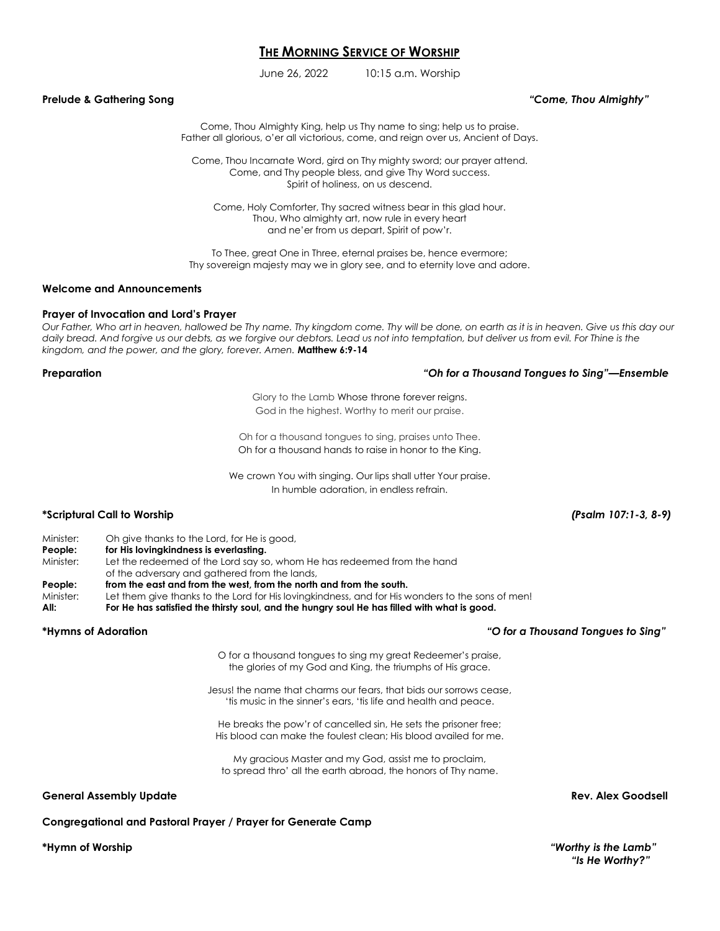# **THE MORNING SERVICE OF WORSHIP**

June 26, 2022 10:15 a.m. Worship

Prelude & Gathering Song "Come, Thou Almighty"

Come, Thou Almighty King, help us Thy name to sing; help us to praise. Father all glorious, o'er all victorious, come, and reign over us, Ancient of Days.

Come, Thou Incarnate Word, gird on Thy mighty sword; our prayer attend. Come, and Thy people bless, and give Thy Word success. Spirit of holiness, on us descend.

Come, Holy Comforter, Thy sacred witness bear in this glad hour. Thou, Who almighty art, now rule in every heart and ne'er from us depart, Spirit of pow'r.

To Thee, great One in Three, eternal praises be, hence evermore; Thy sovereign majesty may we in glory see, and to eternity love and adore.

#### Welcome and Announcements

#### Prayer of Invocation and Lord's Prayer

Our Father, Who art in heaven, hallowed be Thy name. Thy kingdom come. Thy will be done, on earth as it is in heaven. Give us this day our daily bread. And forgive us our debts, as we forgive our debtors. Lead us not into temptation, but deliver us from evil. For Thine is the kingdom, and the power, and the glory, forever. Amen. Matthew 6:9-14

### Preparation "Oh for a Thousand Tongues to Sing"—Ensemble

Glory to the Lamb Whose throne forever reigns. God in the highest. Worthy to merit our praise.

Oh for a thousand tongues to sing, praises unto Thee. Oh for a thousand hands to raise in honor to the King.

We crown You with singing. Our lips shall utter Your praise. In humble adoration, in endless refrain.

#### \*Scriptural Call to Worship (Psalm 107:1-3, 8-9)

| "O for a Thousand Tongues to Sing"<br>*Hymns of Adoration |                                                                                                  |
|-----------------------------------------------------------|--------------------------------------------------------------------------------------------------|
| All:                                                      | For He has satisfied the thirsty soul, and the hungry soul He has filled with what is good.      |
| Minister:                                                 | Let them give thanks to the Lord for His lovingkindness, and for His wonders to the sons of men! |
| People:                                                   | from the east and from the west, from the north and from the south.                              |
|                                                           | of the adversary and gathered from the lands,                                                    |
| Minister:                                                 | Let the redeemed of the Lord say so, whom He has redeemed from the hand                          |
| People:                                                   | for His loving kindness is everlasting.                                                          |
| Minister:                                                 | Oh give thanks to the Lord, for He is good,                                                      |

O for a thousand tongues to sing my great Redeemer's praise, the glories of my God and King, the triumphs of His grace.

Jesus! the name that charms our fears, that bids our sorrows cease, 'tis music in the sinner's ears, 'tis life and health and peace.

He breaks the pow'r of cancelled sin, He sets the prisoner free; His blood can make the foulest clean; His blood availed for me.

My gracious Master and my God, assist me to proclaim, to spread thro' all the earth abroad, the honors of Thy name.

General Assembly Update **Rev. Alex Goodsell** and Seneral Assembly Update Rev. Alex Goodsell

### Congregational and Pastoral Prayer / Prayer for Generate Camp

\*Hymn of Worship "Worthy is the Lamb" "Is He Worthy?"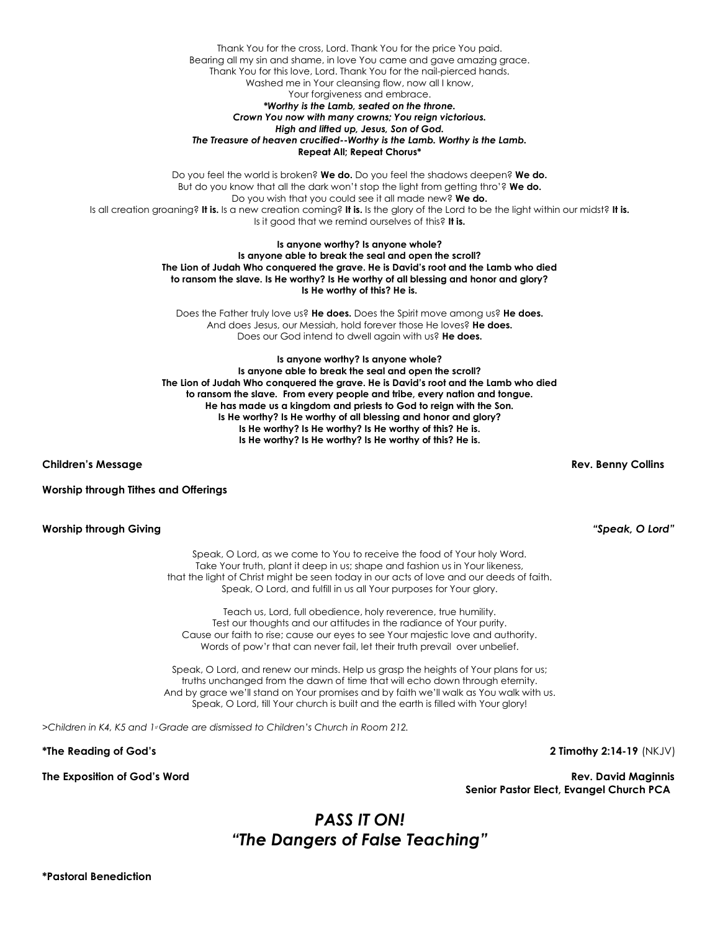Thank You for the cross, Lord. Thank You for the price You paid. Bearing all my sin and shame, in love You came and gave amazing grace. Thank You for this love, Lord. Thank You for the nail-pierced hands. Washed me in Your cleansing flow, now all I know, Your forgiveness and embrace. \*Worthy is the Lamb, seated on the throne. Crown You now with many crowns; You reign victorious. High and lifted up, Jesus, Son of God. The Treasure of heaven crucified--Worthy is the Lamb. Worthy is the Lamb. Repeat All; Repeat Chorus\*

Do you feel the world is broken? We do. Do you feel the shadows deepen? We do. But do you know that all the dark won't stop the light from getting thro'? We do. Do you wish that you could see it all made new? We do. Is all creation groaning? It is. Is a new creation coming? It is. Is the glory of the Lord to be the light within our midst? It is. Is it good that we remind ourselves of this? It is.

> Is anyone worthy? Is anyone whole? Is anyone able to break the seal and open the scroll? The Lion of Judah Who conquered the grave. He is David's root and the Lamb who died to ransom the slave. Is He worthy? Is He worthy of all blessing and honor and glory? Is He worthy of this? He is.

Does the Father truly love us? He does. Does the Spirit move among us? He does. And does Jesus, our Messiah, hold forever those He loves? He does. Does our God intend to dwell again with us? He does.

Is anyone worthy? Is anyone whole? Is anyone able to break the seal and open the scroll? The Lion of Judah Who conquered the grave. He is David's root and the Lamb who died to ransom the slave. From every people and tribe, every nation and tongue. He has made us a kingdom and priests to God to reign with the Son. Is He worthy? Is He worthy of all blessing and honor and glory? Is He worthy? Is He worthy? Is He worthy of this? He is. Is He worthy? Is He worthy? Is He worthy of this? He is.

Children's Message Rev. Benny Collins

Worship through Tithes and Offerings

### Worship through Giving "Speak, O Lord"

Speak, O Lord, as we come to You to receive the food of Your holy Word. Take Your truth, plant it deep in us; shape and fashion us in Your likeness, that the light of Christ might be seen today in our acts of love and our deeds of faith. Speak, O Lord, and fulfill in us all Your purposes for Your glory.

Teach us, Lord, full obedience, holy reverence, true humility. Test our thoughts and our attitudes in the radiance of Your purity. Cause our faith to rise; cause our eyes to see Your majestic love and authority. Words of pow'r that can never fail, let their truth prevail over unbelief.

Speak, O Lord, and renew our minds. Help us grasp the heights of Your plans for us; truths unchanged from the dawn of time that will echo down through eternity. And by grace we'll stand on Your promises and by faith we'll walk as You walk with us. Speak, O Lord, till Your church is built and the earth is filled with Your glory!

>Children in K4, K5 and 1<sup>st</sup> Grade are dismissed to Children's Church in Room 212.

\*The Reading of God's 2 Timothy 2:14-19 (NKJV)

The Exposition of God's Word Rev. David Maginnis Senior Pastor Elect, Evangel Church PCA

# PASS IT ON! "The Dangers of False Teaching"